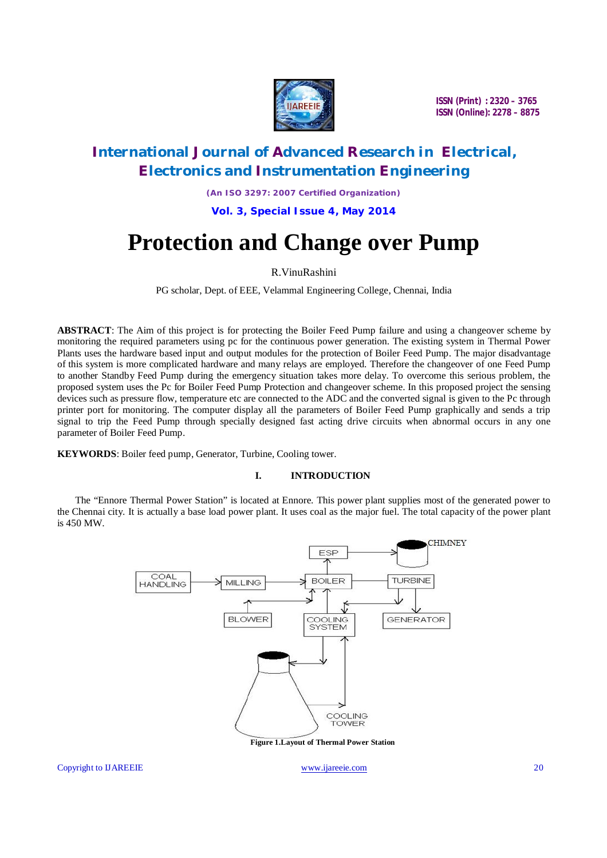

# **International Journal of Advanced Research in Electrical, Electronics and Instrumentation Engineering**

*(An ISO 3297: 2007 Certified Organization)*

**Vol. 3, Special Issue 4, May 2014**

# **Protection and Change over Pump**

## R.VinuRashini

PG scholar, Dept. of EEE, Velammal Engineering College, Chennai, India

**ABSTRACT**: The Aim of this project is for protecting the Boiler Feed Pump failure and using a changeover scheme by monitoring the required parameters using pc for the continuous power generation. The existing system in Thermal Power Plants uses the hardware based input and output modules for the protection of Boiler Feed Pump. The major disadvantage of this system is more complicated hardware and many relays are employed. Therefore the changeover of one Feed Pump to another Standby Feed Pump during the emergency situation takes more delay. To overcome this serious problem, the proposed system uses the Pc for Boiler Feed Pump Protection and changeover scheme. In this proposed project the sensing devices such as pressure flow, temperature etc are connected to the ADC and the converted signal is given to the Pc through printer port for monitoring. The computer display all the parameters of Boiler Feed Pump graphically and sends a trip signal to trip the Feed Pump through specially designed fast acting drive circuits when abnormal occurs in any one parameter of Boiler Feed Pump.

**KEYWORDS**: Boiler feed pump, Generator, Turbine, Cooling tower.

### **I. INTRODUCTION**

The "Ennore Thermal Power Station" is located at Ennore. This power plant supplies most of the generated power to the Chennai city. It is actually a base load power plant. It uses coal as the major fuel. The total capacity of the power plant is 450 MW.

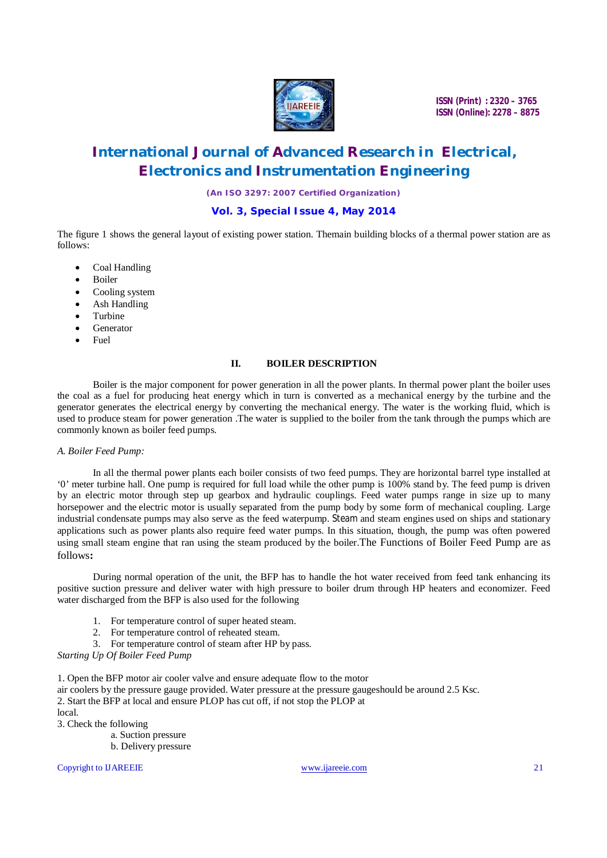

# **International Journal of Advanced Research in Electrical, Electronics and Instrumentation Engineering**

*(An ISO 3297: 2007 Certified Organization)*

## **Vol. 3, Special Issue 4, May 2014**

The figure 1 shows the general layout of existing power station. Themain building blocks of a thermal power station are as follows:

- Coal Handling
- Boiler
- Cooling system
- Ash Handling
- Turbine
- Generator
- Fuel

### **II. BOILER DESCRIPTION**

Boiler is the major component for power generation in all the power plants. In thermal power plant the boiler uses the coal as a fuel for producing heat energy which in turn is converted as a mechanical energy by the turbine and the generator generates the electrical energy by converting the mechanical energy. The water is the working fluid, which is used to produce steam for power generation. The water is supplied to the boiler from the tank through the pumps which are commonly known as boiler feed pumps.

### *A. Boiler Feed Pump:*

In all the thermal power plants each boiler consists of two feed pumps. They are horizontal barrel type installed at '0' meter turbine hall. One pump is required for full load while the other pump is 100% stand by. The feed pump is driven by an electric motor through step up gearbox and hydraulic couplings. Feed water pumps range in size up to many horsepower and the electric motor is usually separated from the pump body by some form of mechanical coupling. Large industrial condensate pumps may also serve as the feed waterpump. Steam and steam engines used on ships and stationary applications such as power plants also require feed water pumps. In this situation, though, the pump was often powered using small steam engine that ran using the steam produced by the boiler.The Functions of Boiler Feed Pump are as follows**:**

During normal operation of the unit, the BFP has to handle the hot water received from feed tank enhancing its positive suction pressure and deliver water with high pressure to boiler drum through HP heaters and economizer. Feed water discharged from the BFP is also used for the following

- 1. For temperature control of super heated steam.
- 2. For temperature control of reheated steam.
- 3. For temperature control of steam after HP by pass.

*Starting Up Of Boiler Feed Pump*

1. Open the BFP motor air cooler valve and ensure adequate flow to the motor air coolers by the pressure gauge provided. Water pressure at the pressure gaugeshould be around 2.5 Ksc. 2. Start the BFP at local and ensure PLOP has cut off, if not stop the PLOP at local. 3. Check the following

- a. Suction pressure
- b. Delivery pressure

Copyright to IJAREEIE www.ijareeie.com 21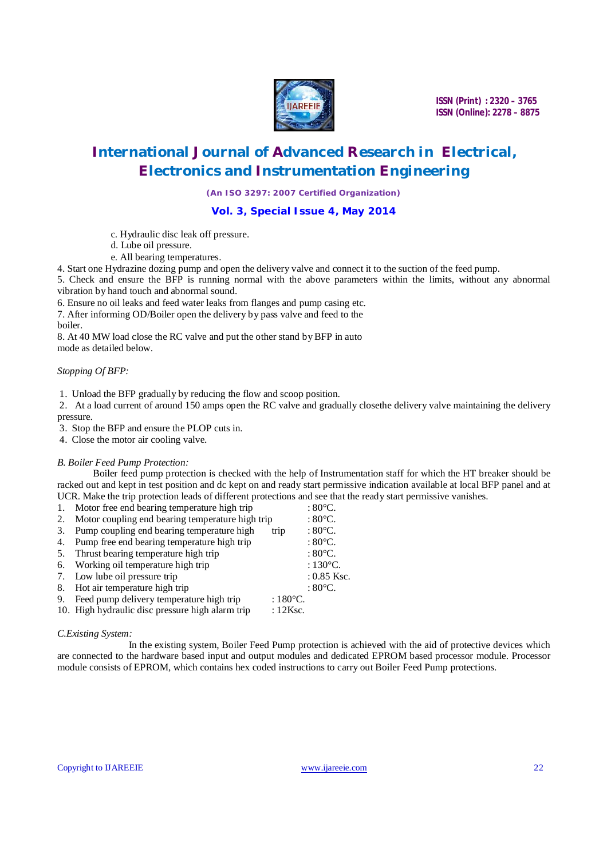

# **International Journal of Advanced Research in Electrical, Electronics and Instrumentation Engineering**

*(An ISO 3297: 2007 Certified Organization)*

### **Vol. 3, Special Issue 4, May 2014**

- c. Hydraulic disc leak off pressure.
- d. Lube oil pressure.
- e. All bearing temperatures.

4. Start one Hydrazine dozing pump and open the delivery valve and connect it to the suction of the feed pump.

5. Check and ensure the BFP is running normal with the above parameters within the limits, without any abnormal vibration by hand touch and abnormal sound.

6. Ensure no oil leaks and feed water leaks from flanges and pump casing etc.

7. After informing OD/Boiler open the delivery by pass valve and feed to the

boiler.

8. At 40 MW load close the RC valve and put the other stand by BFP in auto mode as detailed below.

#### *Stopping Of BFP:*

1. Unload the BFP gradually by reducing the flow and scoop position.

2. At a load current of around 150 amps open the RC valve and gradually closethe delivery valve maintaining the delivery pressure.

3. Stop the BFP and ensure the PLOP cuts in.

4. Close the motor air cooling valve.

### *B. Boiler Feed Pump Protection:*

Boiler feed pump protection is checked with the help of Instrumentation staff for which the HT breaker should be racked out and kept in test position and dc kept on and ready start permissive indication available at local BFP panel and at UCR. Make the trip protection leads of different protections and see that the ready start permissive vanishes.

| 1. | Motor free end bearing temperature high trip                    | $:80^{\circ}$ C.   |
|----|-----------------------------------------------------------------|--------------------|
| 2. | Motor coupling end bearing temperature high trip                | : $80^{\circ}$ C.  |
| 3. | Pump coupling end bearing temperature high<br>trip              | : $80^{\circ}$ C.  |
| 4. | Pump free end bearing temperature high trip                     | : $80^{\circ}$ C.  |
| 5. | Thrust bearing temperature high trip                            | : $80^{\circ}$ C.  |
| 6. | Working oil temperature high trip                               | : $130^{\circ}$ C. |
| 7. | Low lube oil pressure trip                                      | $: 0.85$ Ksc.      |
| 8. | Hot air temperature high trip                                   | $:80^{\circ}$ C.   |
| 9. | Feed pump delivery temperature high trip<br>: $180^{\circ}$ C.  |                    |
|    | 10. High hydraulic disc pressure high alarm trip<br>$: 12$ Ksc. |                    |
|    |                                                                 |                    |

#### *C.Existing System:*

In the existing system, Boiler Feed Pump protection is achieved with the aid of protective devices which are connected to the hardware based input and output modules and dedicated EPROM based processor module. Processor module consists of EPROM, which contains hex coded instructions to carry out Boiler Feed Pump protections.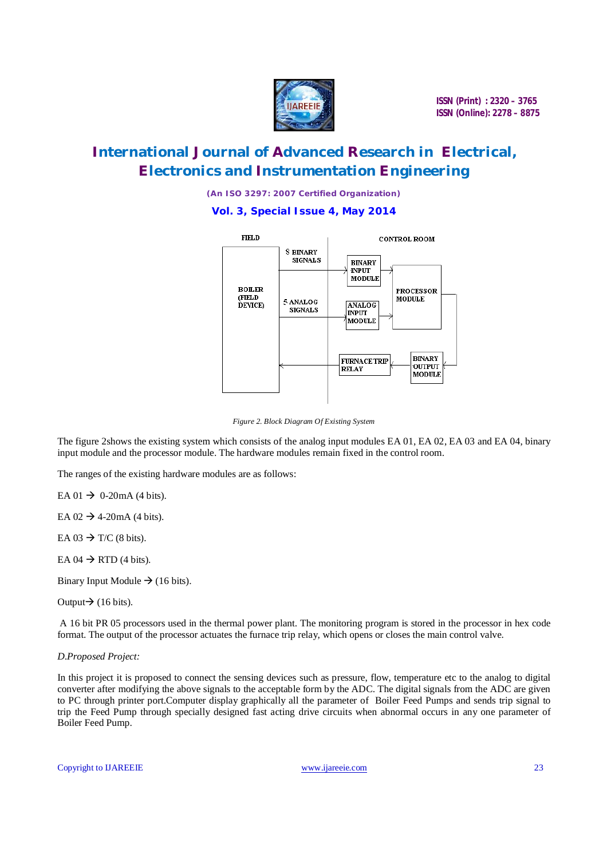

# **International Journal of Advanced Research in Electrical, Electronics and Instrumentation Engineering**

*(An ISO 3297: 2007 Certified Organization)*

### **Vol. 3, Special Issue 4, May 2014**



*Figure 2. Block Diagram Of Existing System*

The figure 2shows the existing system which consists of the analog input modules EA 01, EA 02, EA 03 and EA 04, binary input module and the processor module. The hardware modules remain fixed in the control room.

The ranges of the existing hardware modules are as follows:

EA 01  $\rightarrow$  0-20mA (4 bits).

EA  $02 \rightarrow 4$ -20mA (4 bits).

EA  $03 \rightarrow T/C$  (8 bits).

EA  $04 \rightarrow$  RTD (4 bits).

Binary Input Module  $\rightarrow$  (16 bits).

Output $\rightarrow$  (16 bits).

A 16 bit PR 05 processors used in the thermal power plant. The monitoring program is stored in the processor in hex code format. The output of the processor actuates the furnace trip relay, which opens or closes the main control valve.

## *D.Proposed Project:*

In this project it is proposed to connect the sensing devices such as pressure, flow, temperature etc to the analog to digital converter after modifying the above signals to the acceptable form by the ADC. The digital signals from the ADC are given to PC through printer port.Computer display graphically all the parameter of Boiler Feed Pumps and sends trip signal to trip the Feed Pump through specially designed fast acting drive circuits when abnormal occurs in any one parameter of Boiler Feed Pump.

Copyright to IJAREEIE www.ijareeie.com 23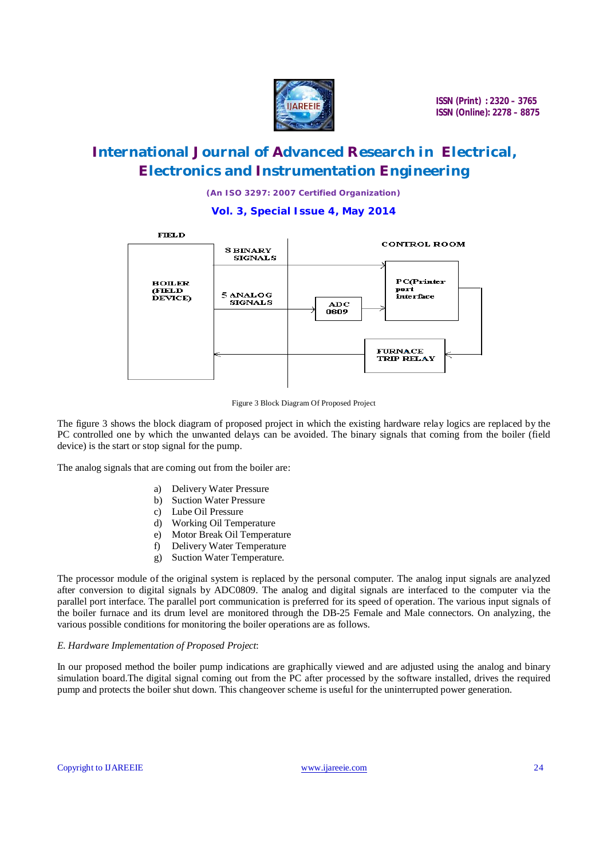

# **International Journal of Advanced Research in Electrical, Electronics and Instrumentation Engineering**

*(An ISO 3297: 2007 Certified Organization)*

**Vol. 3, Special Issue 4, May 2014**



Figure 3 Block Diagram Of Proposed Project

The figure 3 shows the block diagram of proposed project in which the existing hardware relay logics are replaced by the PC controlled one by which the unwanted delays can be avoided. The binary signals that coming from the boiler (field device) is the start or stop signal for the pump.

The analog signals that are coming out from the boiler are:

- a) Delivery Water Pressure
- b) Suction Water Pressure
- c) Lube Oil Pressure
- d) Working Oil Temperature
- e) Motor Break Oil Temperature
- f) Delivery Water Temperature
- g) Suction Water Temperature.

The processor module of the original system is replaced by the personal computer. The analog input signals are analyzed after conversion to digital signals by ADC0809. The analog and digital signals are interfaced to the computer via the parallel port interface. The parallel port communication is preferred for its speed of operation. The various input signals of the boiler furnace and its drum level are monitored through the DB-25 Female and Male connectors. On analyzing, the various possible conditions for monitoring the boiler operations are as follows.

#### *E. Hardware Implementation of Proposed Project*:

In our proposed method the boiler pump indications are graphically viewed and are adjusted using the analog and binary simulation board.The digital signal coming out from the PC after processed by the software installed, drives the required pump and protects the boiler shut down. This changeover scheme is useful for the uninterrupted power generation.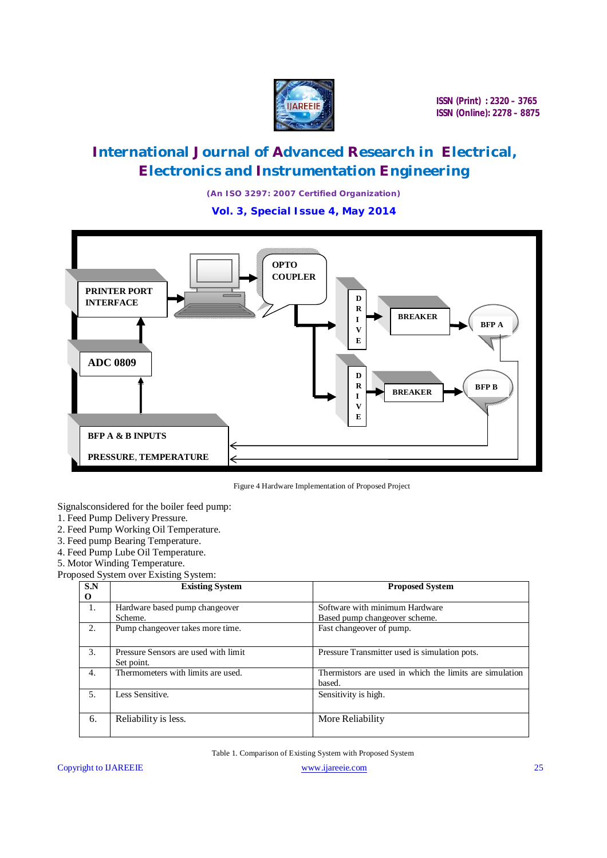

# **International Journal of Advanced Research in Electrical, Electronics and Instrumentation Engineering**

*(An ISO 3297: 2007 Certified Organization)*

**Vol. 3, Special Issue 4, May 2014**





Signalsconsidered for the boiler feed pump:

- 1. Feed Pump Delivery Pressure.
- 2. Feed Pump Working Oil Temperature.
- 3. Feed pump Bearing Temperature.
- 4. Feed Pump Lube Oil Temperature.
- 5. Motor Winding Temperature.

Proposed System over Existing System:

| S.N | <b>Existing System</b>               | <b>Proposed System</b>                                  |
|-----|--------------------------------------|---------------------------------------------------------|
| O   |                                      |                                                         |
| -1. | Hardware based pump changeover       | Software with minimum Hardware                          |
|     | Scheme.                              | Based pump changeover scheme.                           |
| 2.  | Pump changeover takes more time.     | Fast changeover of pump.                                |
| 3.  | Pressure Sensors are used with limit | Pressure Transmitter used is simulation pots.           |
|     | Set point.                           |                                                         |
| 4.  | Thermometers with limits are used.   | Thermistors are used in which the limits are simulation |
|     |                                      | based.                                                  |
| .5. | Less Sensitive.                      | Sensitivity is high.                                    |
|     |                                      |                                                         |
| 6.  | Reliability is less.                 | More Reliability                                        |
|     |                                      |                                                         |

Table 1. Comparison of Existing System with Proposed System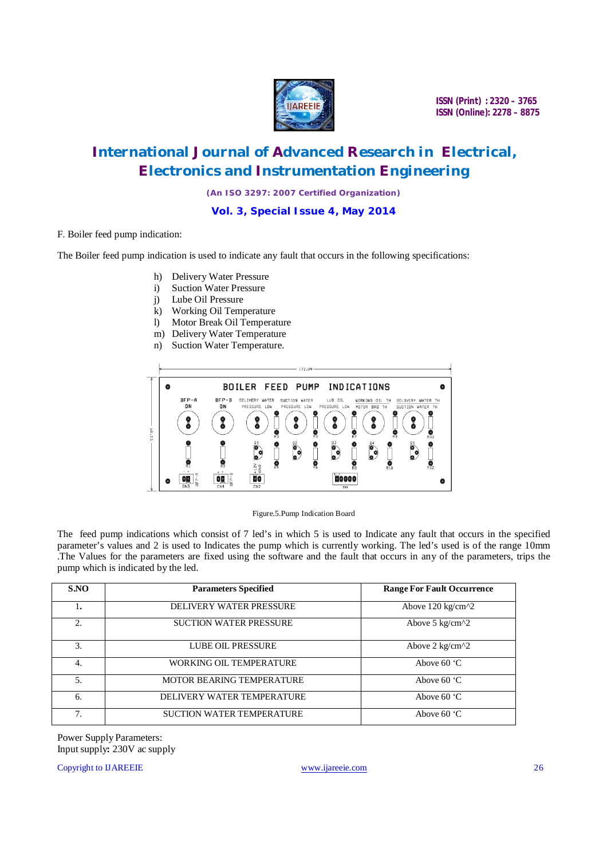

# **International Journal of Advanced Research in Electrical, Electronics and Instrumentation Engineering**

*(An ISO 3297: 2007 Certified Organization)*

**Vol. 3, Special Issue 4, May 2014**

#### F. Boiler feed pump indication:

The Boiler feed pump indication is used to indicate any fault that occurs in the following specifications:

- h) Delivery Water Pressure
- i) Suction Water Pressure
- j) Lube Oil Pressure
- k) Working Oil Temperature
- l) Motor Break Oil Temperature
- m) Delivery Water Temperature
- n) Suction Water Temperature.



Figure.5.Pump Indication Board

The feed pump indications which consist of 7 led's in which 5 is used to Indicate any fault that occurs in the specified parameter's values and 2 is used to Indicates the pump which is currently working. The led's used is of the range 10mm .The Values for the parameters are fixed using the software and the fault that occurs in any of the parameters, trips the pump which is indicated by the led.

| S.NO | <b>Parameters Specified</b>    | <b>Range For Fault Occurrence</b> |
|------|--------------------------------|-----------------------------------|
| 1.   | <b>DELIVERY WATER PRESSURE</b> | Above $120 \text{ kg/cm}^2$       |
| 2.   | <b>SUCTION WATER PRESSURE</b>  | Above 5 $kg/cm^{2}$               |
| 3.   | LUBE OIL PRESSURE              | Above $2 \text{ kg/cm}^2$         |
| 4.   | <b>WORKING OIL TEMPERATURE</b> | Above $60^{\circ}$ C              |
| 5.   | MOTOR BEARING TEMPERATURE      | Above $60^{\circ}$ C              |
| 6.   | DELIVERY WATER TEMPERATURE     | Above $60^{\circ}$ C              |
| 7.   | SUCTION WATER TEMPERATURE      | Above $60^{\circ}$ C              |

Power Supply Parameters: Input supply**:** 230V ac supply

Copyright to IJAREEIE www.ijareeie.com 26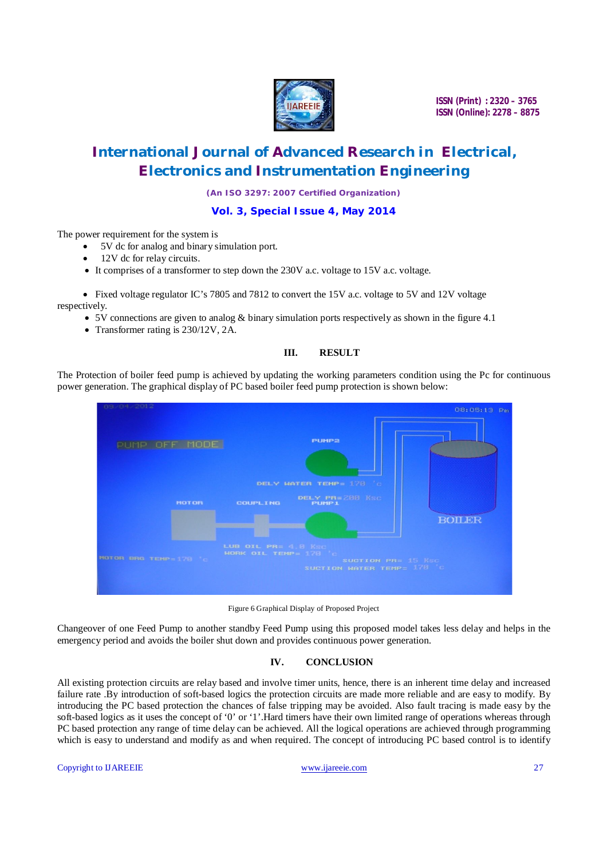

# **International Journal of Advanced Research in Electrical, Electronics and Instrumentation Engineering**

*(An ISO 3297: 2007 Certified Organization)*

#### **Vol. 3, Special Issue 4, May 2014**

The power requirement for the system is

- 5V dc for analog and binary simulation port.
- 12V dc for relay circuits.
- It comprises of a transformer to step down the 230V a.c. voltage to 15V a.c. voltage.

 Fixed voltage regulator IC's 7805 and 7812 to convert the 15V a.c. voltage to 5V and 12V voltage respectively.

- $\bullet$  5V connections are given to analog & binary simulation ports respectively as shown in the figure 4.1
- Transformer rating is 230/12V, 2A.

### **III. RESULT**

The Protection of boiler feed pump is achieved by updating the working parameters condition using the Pc for continuous power generation. The graphical display of PC based boiler feed pump protection is shown below:



Figure 6 Graphical Display of Proposed Project

Changeover of one Feed Pump to another standby Feed Pump using this proposed model takes less delay and helps in the emergency period and avoids the boiler shut down and provides continuous power generation.

### **IV. CONCLUSION**

All existing protection circuits are relay based and involve timer units, hence, there is an inherent time delay and increased failure rate .By introduction of soft-based logics the protection circuits are made more reliable and are easy to modify. By introducing the PC based protection the chances of false tripping may be avoided. Also fault tracing is made easy by the soft-based logics as it uses the concept of '0' or '1'.Hard timers have their own limited range of operations whereas through PC based protection any range of time delay can be achieved. All the logical operations are achieved through programming which is easy to understand and modify as and when required. The concept of introducing PC based control is to identify